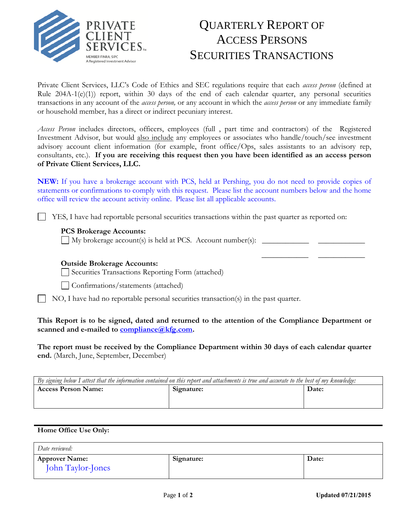

# QUARTERLY REPORT OF ACCESS PERSONS SECURITIES TRANSACTIONS

Private Client Services, LLC's Code of Ethics and SEC regulations require that each *access person* (defined at Rule  $204A-1(e)(1)$  report, within 30 days of the end of each calendar quarter, any personal securities transactions in any account of the *access person,* or any account in which the *access person* or any immediate family or household member, has a direct or indirect pecuniary interest.

*Access Person* includes directors, officers, employees (full , part time and contractors) of the Registered Investment Advisor, but would also include any employees or associates who handle/touch/see investment advisory account client information (for example, front office/Ops, sales assistants to an advisory rep, consultants, etc.). **If you are receiving this request then you have been identified as an access person of Private Client Services, LLC.** 

**NEW:** If you have a brokerage account with PCS, held at Pershing, you do not need to provide copies of statements or confirmations to comply with this request. Please list the account numbers below and the home office will review the account activity online. Please list all applicable accounts.

 $\frac{1}{2}$  , and the set of the set of the set of the set of the set of the set of the set of the set of the set of the set of the set of the set of the set of the set of the set of the set of the set of the set of the set

 $\Box$  YES, I have had reportable personal securities transactions within the past quarter as reported on:

## **PCS Brokerage Accounts:**

 $\Box$  My brokerage account(s) is held at PCS. Account number(s):

### **Outside Brokerage Accounts:**

Securities Transactions Reporting Form (attached)

Confirmations/statements (attached)

 $\Box$  NO, I have had no reportable personal securities transaction(s) in the past quarter.

**This Report is to be signed, dated and returned to the attention of the Compliance Department or scanned and e-mailed to [compliance@kfg.com.](mailto:compliance@kfg.com)** 

**The report must be received by the Compliance Department within 30 days of each calendar quarter end.** (March, June, September, December)

| By signing below I attest that the information contained on this report and attachments is true and accurate to the best of my knowledge: |            |       |  |  |  |
|-------------------------------------------------------------------------------------------------------------------------------------------|------------|-------|--|--|--|
| <b>Access Person Name:</b>                                                                                                                | Signature: | Date: |  |  |  |
|                                                                                                                                           |            |       |  |  |  |
|                                                                                                                                           |            |       |  |  |  |

#### **Home Office Use Only:**

| Date reviewed:                             |            |       |
|--------------------------------------------|------------|-------|
| <b>Approver Name:</b><br>John Taylor-Jones | Signature: | Date: |